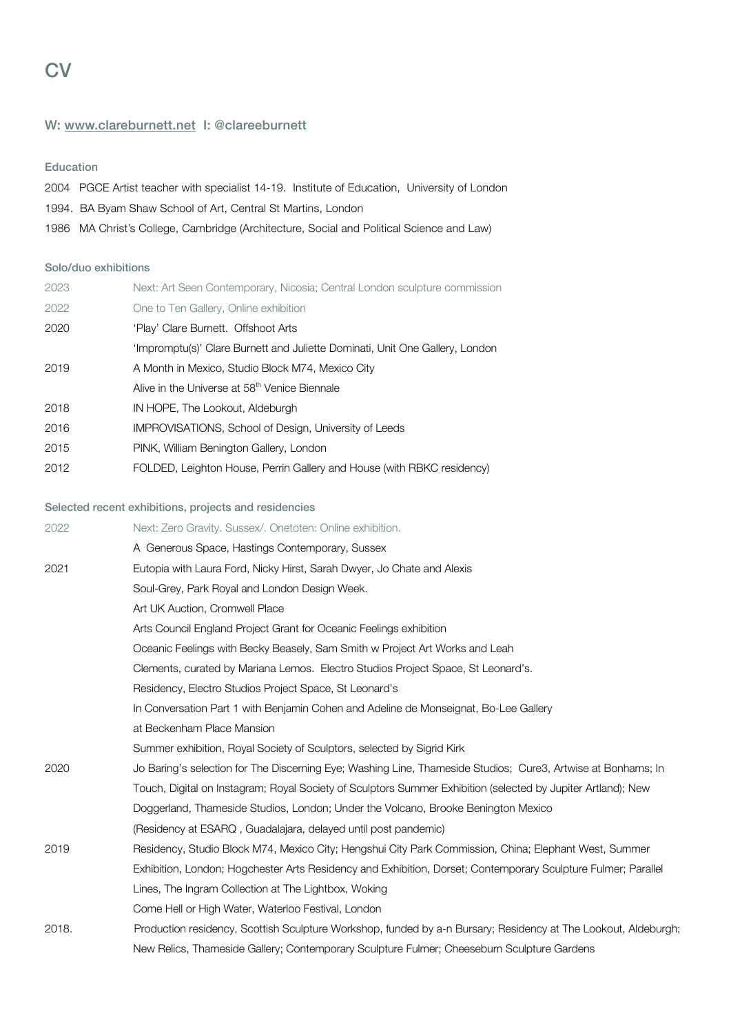# W: www.clareburnett.net I: @clareeburnett

### Education

| 2004 PGCE Artist teacher with specialist 14-19. Institute of Education, University of London |
|----------------------------------------------------------------------------------------------|
| 1994. BA Byam Shaw School of Art, Central St Martins, London                                 |
| 1986 MA Christ's College, Cambridge (Architecture, Social and Political Science and Law)     |

## Solo/duo exhibitions

| Next: Art Seen Contemporary, Nicosia; Central London sculpture commission    |
|------------------------------------------------------------------------------|
| One to Ten Gallery, Online exhibition                                        |
| 'Play' Clare Burnett. Offshoot Arts                                          |
| 'Impromptu(s)' Clare Burnett and Juliette Dominati, Unit One Gallery, London |
| A Month in Mexico, Studio Block M74, Mexico City                             |
| Alive in the Universe at 58 <sup>th</sup> Venice Biennale                    |
| IN HOPE, The Lookout, Aldeburgh                                              |
| <b>IMPROVISATIONS, School of Design, University of Leeds</b>                 |
| PINK, William Benington Gallery, London                                      |
| FOLDED, Leighton House, Perrin Gallery and House (with RBKC residency)       |
|                                                                              |

### Selected recent exhibitions, projects and residencies

| 2022  | Next: Zero Gravity. Sussex/. Onetoten: Online exhibition.                                                      |
|-------|----------------------------------------------------------------------------------------------------------------|
|       | A Generous Space, Hastings Contemporary, Sussex                                                                |
| 2021  | Eutopia with Laura Ford, Nicky Hirst, Sarah Dwyer, Jo Chate and Alexis                                         |
|       | Soul-Grey, Park Royal and London Design Week.                                                                  |
|       | Art UK Auction, Cromwell Place                                                                                 |
|       | Arts Council England Project Grant for Oceanic Feelings exhibition                                             |
|       | Oceanic Feelings with Becky Beasely, Sam Smith w Project Art Works and Leah                                    |
|       | Clements, curated by Mariana Lemos. Electro Studios Project Space, St Leonard's.                               |
|       | Residency, Electro Studios Project Space, St Leonard's                                                         |
|       | In Conversation Part 1 with Benjamin Cohen and Adeline de Monseignat, Bo-Lee Gallery                           |
|       | at Beckenham Place Mansion                                                                                     |
|       | Summer exhibition, Royal Society of Sculptors, selected by Sigrid Kirk                                         |
| 2020  | Jo Baring's selection for The Discerning Eye; Washing Line, Thameside Studios; Cure3, Artwise at Bonhams; In   |
|       | Touch, Digital on Instagram; Royal Society of Sculptors Summer Exhibition (selected by Jupiter Artland); New   |
|       | Doggerland, Thameside Studios, London; Under the Volcano, Brooke Benington Mexico                              |
|       | (Residency at ESARQ, Guadalajara, delayed until post pandemic)                                                 |
| 2019  | Residency, Studio Block M74, Mexico City; Hengshui City Park Commission, China; Elephant West, Summer          |
|       | Exhibition, London; Hogchester Arts Residency and Exhibition, Dorset; Contemporary Sculpture Fulmer; Parallel  |
|       | Lines, The Ingram Collection at The Lightbox, Woking                                                           |
|       | Come Hell or High Water, Waterloo Festival, London                                                             |
| 2018. | Production residency, Scottish Sculpture Workshop, funded by a-n Bursary; Residency at The Lookout, Aldeburgh; |
|       | New Relics, Thameside Gallery; Contemporary Sculpture Fulmer; Cheeseburn Sculpture Gardens                     |